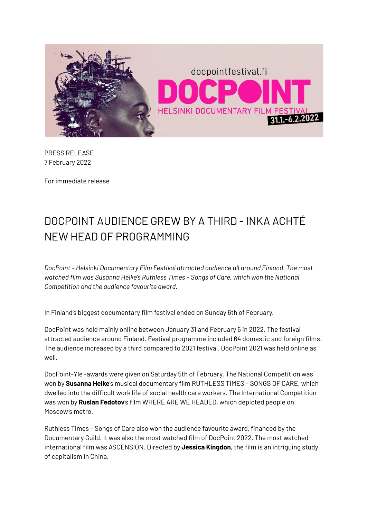

PRESS RELEASE 7 February 2022

For immediate release

## DOCPOINT AUDIENCE GREW BY A THIRD - INKA ACHTÉ NEW HEAD OF PROGRAMMING

*DocPoint – Helsinki Documentary Film Festival attracted audience all around Finland. The most watched film was Susanna Helke's Ruthless Times – Songs of Care, which won the National Competition and the audience favourite award.*

In Finland's biggest documentary film festival ended on Sunday 6th of February.

DocPoint was held mainly online between January 31 and February 6 in 2022. The festival attracted audience around Finland. Festival programme included 64 domestic and foreign films. The audience increased by a third compared to 2021 festival. DocPoint 2021 was held online as well.

DocPoint-Yle -awards were given on Saturday 5th of February. The National Competition was won by **Susanna Helke**'s musical documentary film RUTHLESS TIMES – SONGS OF CARE, which dwelled into the difficult work life of social health care workers. The International Competition was won by **Ruslan Fedotov**'s film WHERE ARE WE HEADED, which depicted people on Moscow's metro.

Ruthless Times – Songs of Care also won the audience favourite award, financed by the Documentary Guild. It was also the most watched film of DocPoint 2022. The most watched international film was ASCENSION. Directed by **Jessica Kingdon**, the film is an intriguing study of capitalism in China.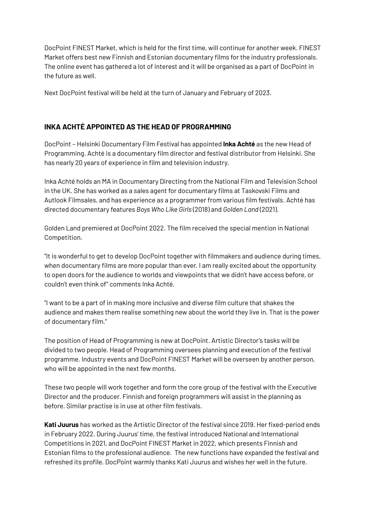DocPoint FINEST Market, which is held for the first time, will continue for another week. FINEST Market offers best new Finnish and Estonian documentary films for the industry professionals. The online event has gathered a lot of interest and it will be organised as a part of DocPoint in the future as well.

Next DocPoint festival will be held at the turn of January and February of 2023.

## **INKA ACHTÉ APPOINTED AS THE HEAD OF PROGRAMMING**

DocPoint – Helsinki Documentary Film Festival has appointed **Inka Achté** as the new Head of Programming. Achté is a documentary film director and festival distributor from Helsinki. She has nearly 20 years of experience in film and television industry.

Inka Achté holds an MA in Documentary Directing from the National Film and Television School in the UK. She has worked as a sales agent for documentary films at Taskovski Films and Autlook Filmsales, and has experience as a programmer from various film festivals. Achté has directed documentary features *Boys Who Like Girls* (2018) and *Golden Land* (2021).

Golden Land premiered at DocPoint 2022. The film received the special mention in National Competition.

"It is wonderful to get to develop DocPoint together with filmmakers and audience during times, when documentary films are more popular than ever. I am really excited about the opportunity to open doors for the audience to worlds and viewpoints that we didn't have access before, or couldn't even think of" comments Inka Achté.

"I want to be a part of in making more inclusive and diverse film culture that shakes the audience and makes them realise something new about the world they live in. That is the power of documentary film."

The position of Head of Programming is new at DocPoint. Artistic Director's tasks will be divided to two people. Head of Programming oversees planning and execution of the festival programme. Industry events and DocPoint FINEST Market will be overseen by another person, who will be appointed in the next few months.

These two people will work together and form the core group of the festival with the Executive Director and the producer. Finnish and foreign programmers will assist in the planning as before. Similar practise is in use at other film festivals.

**Kati Juurus** has worked as the Artistic Director of the festival since 2019. Her fixed-period ends in February 2022. During Juurus' time, the festival introduced National and International Competitions in 2021, and DocPoint FINEST Market in 2022, which presents Finnish and Estonian films to the professional audience. The new functions have expanded the festival and refreshed its profile. DocPoint warmly thanks Kati Juurus and wishes her well in the future.